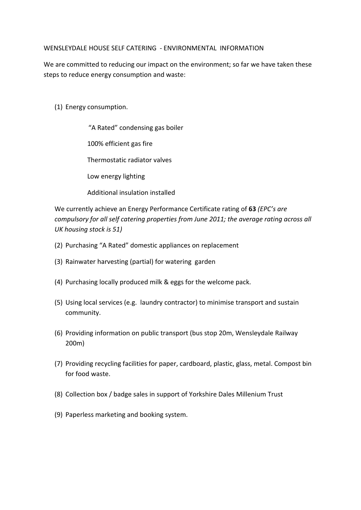## WENSLEYDALE HOUSE SELF CATERING ‐ ENVIRONMENTAL INFORMATION

We are committed to reducing our impact on the environment; so far we have taken these steps to reduce energy consumption and waste:

- (1) Energy consumption.
	- "A Rated" condensing gas boiler 100% efficient gas fire Thermostatic radiator valves Low energy lighting

Additional insulation installed

We currently achieve an Energy Performance Certificate rating of **63** *(EPC's are compulsory for all self catering properties from June 2011; the average rating across all UK housing stock is 51)*

- (2) Purchasing "A Rated" domestic appliances on replacement
- (3) Rainwater harvesting (partial) for watering garden
- (4) Purchasing locally produced milk & eggs for the welcome pack.
- (5) Using local services (e.g. laundry contractor) to minimise transport and sustain community.
- (6) Providing information on public transport (bus stop 20m, Wensleydale Railway 200m)
- (7) Providing recycling facilities for paper, cardboard, plastic, glass, metal. Compost bin for food waste.
- (8) Collection box / badge sales in support of Yorkshire Dales Millenium Trust
- (9) Paperless marketing and booking system.